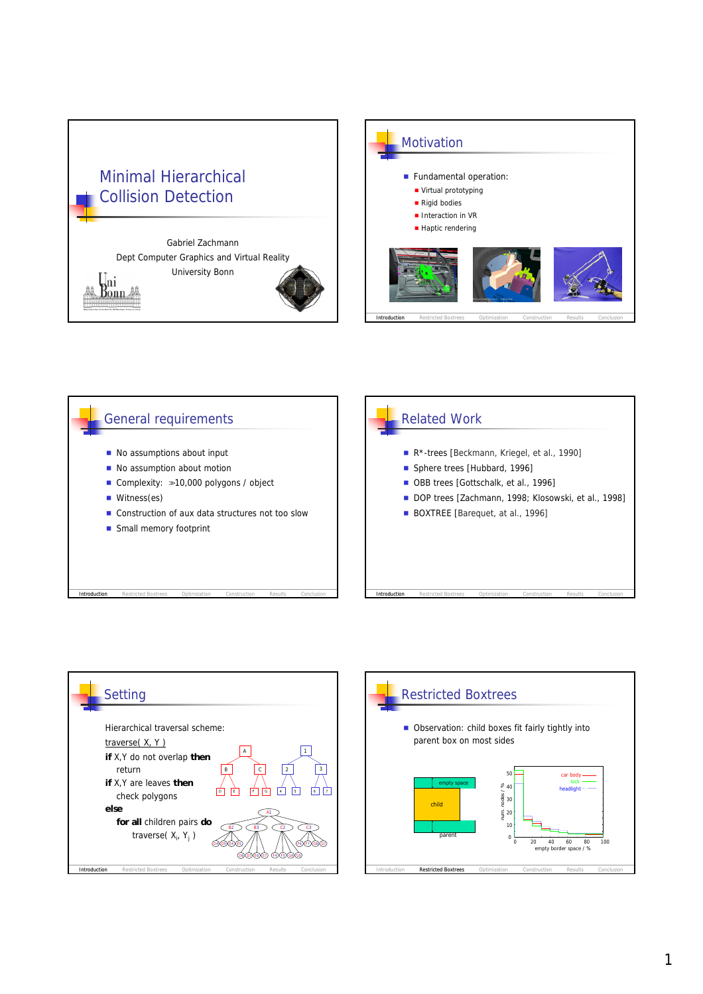







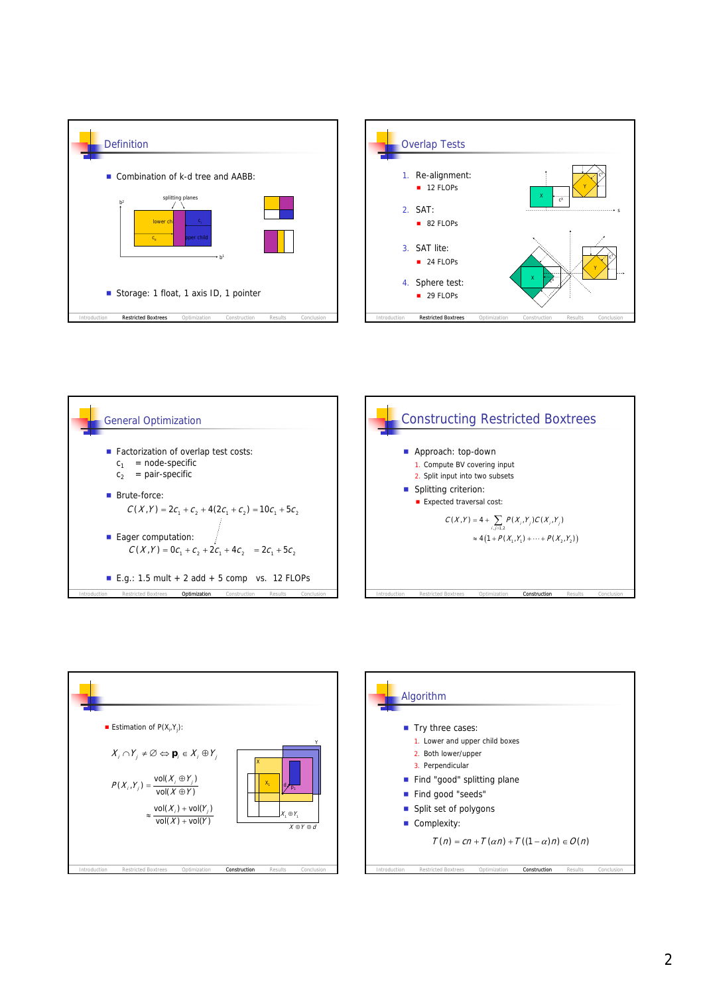